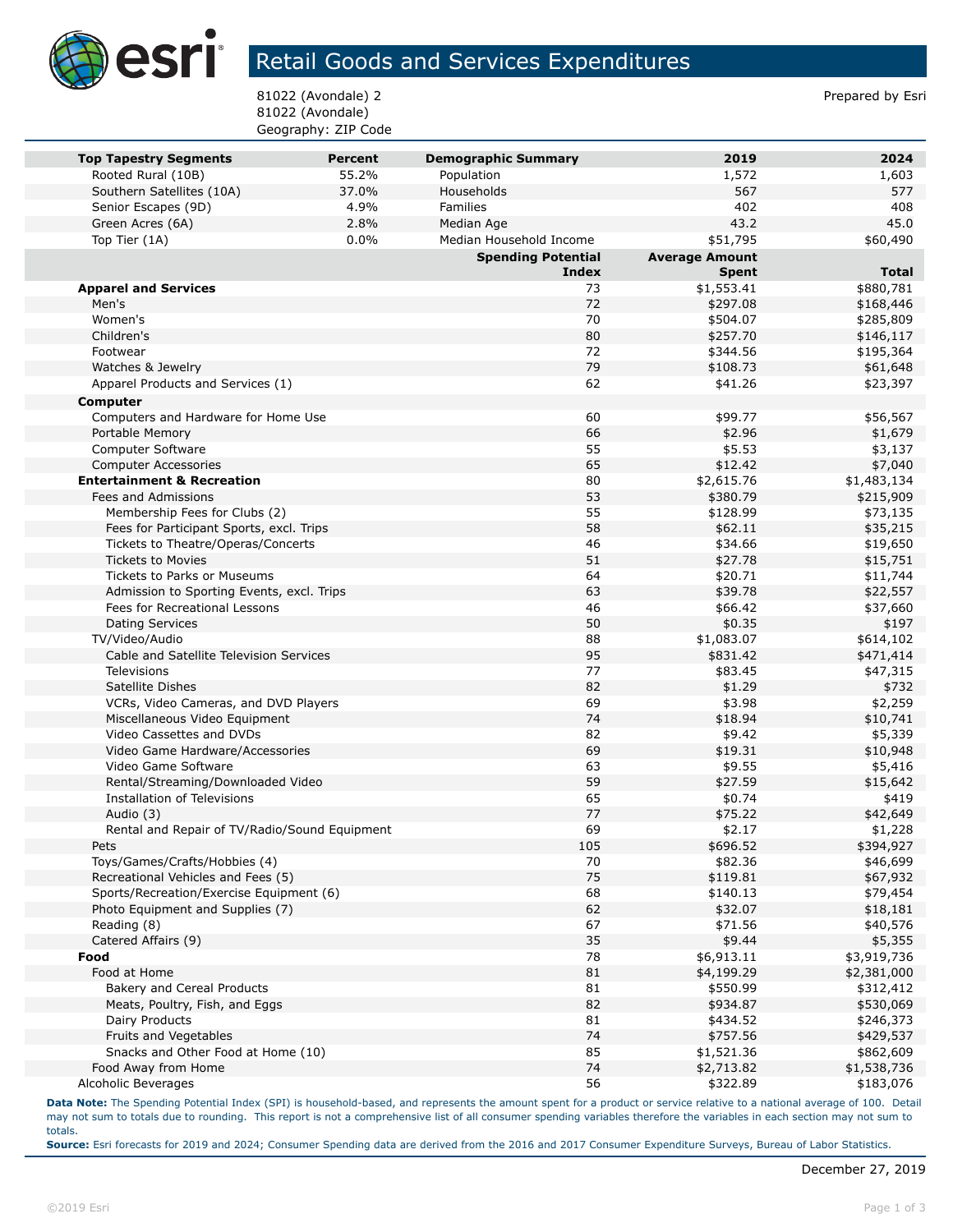

## Retail Goods and Services Expenditures

81022 (Avondale) 2 Prepared by Esri 81022 (Avondale) Geography: ZIP Code

| <b>Top Tapestry Segments</b>                                                   | Percent | <b>Demographic Summary</b> | 2019                  | 2024                 |
|--------------------------------------------------------------------------------|---------|----------------------------|-----------------------|----------------------|
| Rooted Rural (10B)                                                             | 55.2%   | Population                 | 1,572                 | 1,603                |
| Southern Satellites (10A)                                                      | 37.0%   | Households                 | 567                   | 577                  |
| Senior Escapes (9D)                                                            | 4.9%    | <b>Families</b>            | 402                   | 408                  |
| Green Acres (6A)                                                               | 2.8%    | Median Age                 | 43.2                  | 45.0                 |
| Top Tier (1A)                                                                  | 0.0%    | Median Household Income    | \$51,795              | \$60,490             |
|                                                                                |         | <b>Spending Potential</b>  | <b>Average Amount</b> |                      |
|                                                                                |         | <b>Index</b>               | <b>Spent</b>          | <b>Total</b>         |
| <b>Apparel and Services</b>                                                    |         | 73                         | \$1,553.41            | \$880,781            |
| Men's                                                                          |         | 72                         | \$297.08              | \$168,446            |
| Women's                                                                        |         | 70                         | \$504.07              | \$285,809            |
| Children's                                                                     |         | 80                         | \$257.70              | \$146,117            |
| Footwear                                                                       |         | 72                         | \$344.56              | \$195,364            |
| Watches & Jewelry                                                              |         | 79                         | \$108.73              | \$61,648             |
| Apparel Products and Services (1)                                              |         | 62                         | \$41.26               | \$23,397             |
| Computer                                                                       |         |                            |                       |                      |
| Computers and Hardware for Home Use                                            |         | 60                         | \$99.77               | \$56,567             |
| Portable Memory                                                                |         | 66                         | \$2.96                | \$1,679              |
| <b>Computer Software</b>                                                       |         | 55                         | \$5.53                | \$3,137              |
| <b>Computer Accessories</b>                                                    |         | 65                         | \$12.42               | \$7,040              |
| <b>Entertainment &amp; Recreation</b>                                          |         | 80                         | \$2,615.76            | \$1,483,134          |
| Fees and Admissions                                                            |         | 53                         | \$380.79              | \$215,909            |
| Membership Fees for Clubs (2)                                                  |         | 55                         | \$128.99              | \$73,135             |
| Fees for Participant Sports, excl. Trips                                       |         | 58                         | \$62.11               | \$35,215             |
| Tickets to Theatre/Operas/Concerts                                             |         | 46                         | \$34.66               | \$19,650             |
| <b>Tickets to Movies</b>                                                       |         | 51                         | \$27.78               | \$15,751             |
| Tickets to Parks or Museums                                                    |         | 64                         | \$20.71               | \$11,744             |
| Admission to Sporting Events, excl. Trips                                      |         | 63                         | \$39.78               | \$22,557             |
| Fees for Recreational Lessons                                                  |         | 46                         | \$66.42               | \$37,660             |
| <b>Dating Services</b>                                                         |         | 50                         | \$0.35                | \$197                |
| TV/Video/Audio                                                                 |         | 88                         | \$1,083.07            | \$614,102            |
| Cable and Satellite Television Services                                        |         | 95                         | \$831.42              | \$471,414            |
| Televisions                                                                    |         | 77                         | \$83.45               | \$47,315             |
| Satellite Dishes                                                               |         | 82                         | \$1.29                | \$732                |
| VCRs, Video Cameras, and DVD Players                                           |         | 69                         | \$3.98                | \$2,259              |
| Miscellaneous Video Equipment                                                  |         | 74                         | \$18.94               | \$10,741             |
| Video Cassettes and DVDs                                                       |         | 82                         | \$9.42                | \$5,339              |
| Video Game Hardware/Accessories                                                |         | 69                         | \$19.31               | \$10,948             |
| Video Game Software                                                            |         | 63                         | \$9.55                | \$5,416              |
| Rental/Streaming/Downloaded Video                                              |         | 59                         | \$27.59               | \$15,642             |
| Installation of Televisions                                                    |         | 65                         | \$0.74                | \$419                |
| Audio (3)                                                                      |         | 77<br>69                   | \$75.22               | \$42,649             |
| Rental and Repair of TV/Radio/Sound Equipment                                  |         |                            | \$2.17                | \$1,228              |
| Pets                                                                           |         | 105<br>70                  | \$696.52              | \$394,927            |
| Toys/Games/Crafts/Hobbies (4)                                                  |         |                            | \$82.36               | \$46,699             |
| Recreational Vehicles and Fees (5)<br>Sports/Recreation/Exercise Equipment (6) |         | 75<br>68                   | \$119.81<br>\$140.13  | \$67,932             |
| Photo Equipment and Supplies (7)                                               |         | 62                         | \$32.07               | \$79,454<br>\$18,181 |
| Reading (8)                                                                    |         | 67                         | \$71.56               | \$40,576             |
| Catered Affairs (9)                                                            |         | 35                         | \$9.44                | \$5,355              |
| Food                                                                           |         | 78                         | \$6,913.11            | \$3,919,736          |
| Food at Home                                                                   |         | 81                         | \$4,199.29            | \$2,381,000          |
| Bakery and Cereal Products                                                     |         | 81                         | \$550.99              | \$312,412            |
| Meats, Poultry, Fish, and Eggs                                                 |         | 82                         | \$934.87              | \$530,069            |
| Dairy Products                                                                 |         | 81                         | \$434.52              | \$246,373            |
| Fruits and Vegetables                                                          |         | 74                         | \$757.56              | \$429,537            |
| Snacks and Other Food at Home (10)                                             |         | 85                         | \$1,521.36            | \$862,609            |
| Food Away from Home                                                            |         | 74                         | \$2,713.82            | \$1,538,736          |
| Alcoholic Beverages                                                            |         | 56                         | \$322.89              | \$183,076            |

**Data Note:** The Spending Potential Index (SPI) is household-based, and represents the amount spent for a product or service relative to a national average of 100. Detail may not sum to totals due to rounding. This report is not a comprehensive list of all consumer spending variables therefore the variables in each section may not sum to totals.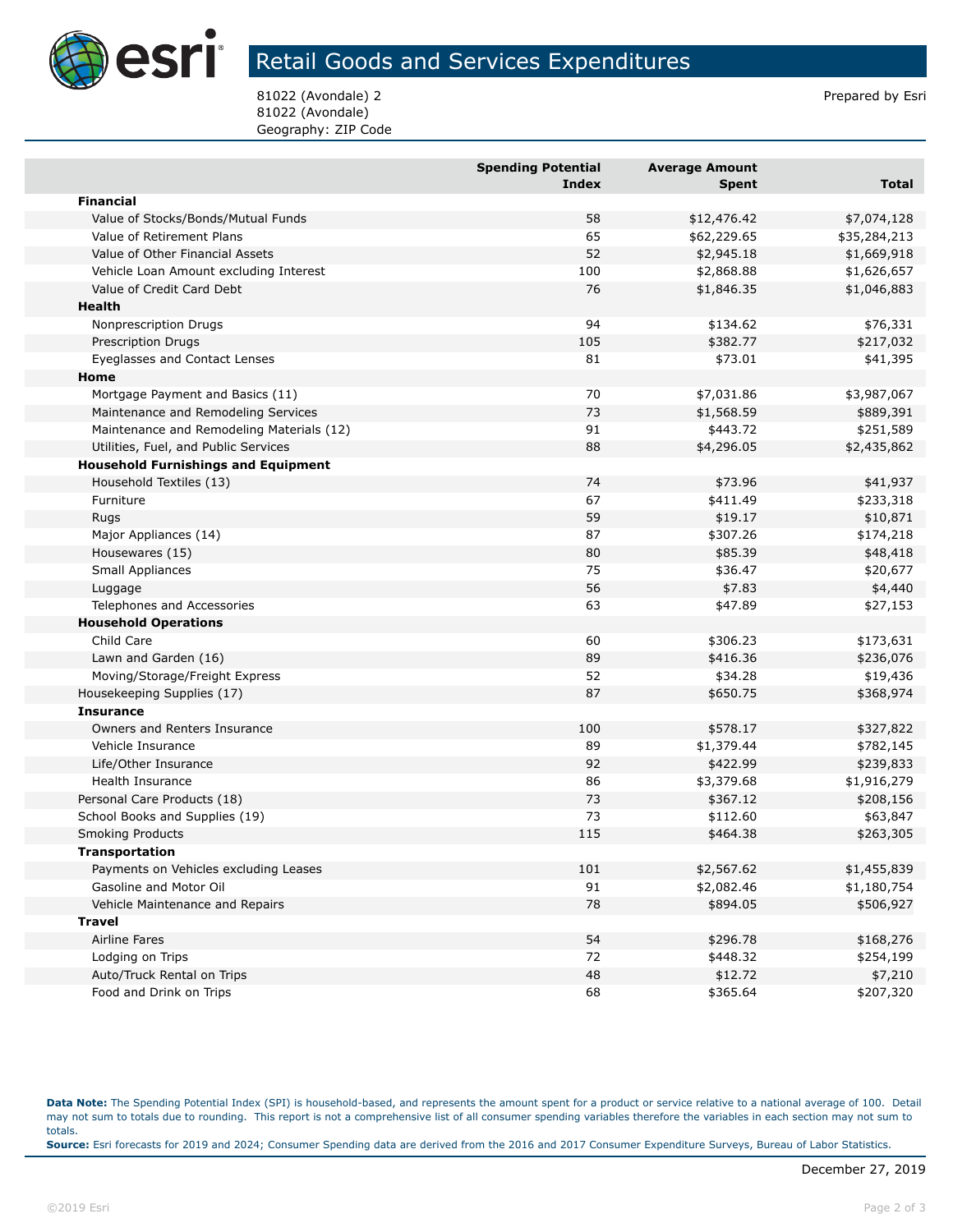

## Retail Goods and Services Expenditures

81022 (Avondale) 2 **Prepared by Estimate 2** Prepared by Esri 81022 (Avondale) Geography: ZIP Code

|                                            | <b>Spending Potential</b><br><b>Index</b> | <b>Average Amount</b><br>Spent | <b>Total</b> |
|--------------------------------------------|-------------------------------------------|--------------------------------|--------------|
| <b>Financial</b>                           |                                           |                                |              |
| Value of Stocks/Bonds/Mutual Funds         | 58                                        | \$12,476.42                    | \$7,074,128  |
| Value of Retirement Plans                  | 65                                        | \$62,229.65                    | \$35,284,213 |
| Value of Other Financial Assets            | 52                                        | \$2,945.18                     | \$1,669,918  |
| Vehicle Loan Amount excluding Interest     | 100                                       | \$2,868.88                     | \$1,626,657  |
| Value of Credit Card Debt                  | 76                                        | \$1,846.35                     | \$1,046,883  |
| Health                                     |                                           |                                |              |
| Nonprescription Drugs                      | 94                                        | \$134.62                       | \$76,331     |
| <b>Prescription Drugs</b>                  | 105                                       | \$382.77                       | \$217,032    |
| Eyeglasses and Contact Lenses              | 81                                        | \$73.01                        | \$41,395     |
| Home                                       |                                           |                                |              |
| Mortgage Payment and Basics (11)           | 70                                        | \$7,031.86                     | \$3,987,067  |
| Maintenance and Remodeling Services        | 73                                        | \$1,568.59                     | \$889,391    |
| Maintenance and Remodeling Materials (12)  | 91                                        | \$443.72                       | \$251,589    |
| Utilities, Fuel, and Public Services       | 88                                        | \$4,296.05                     | \$2,435,862  |
| <b>Household Furnishings and Equipment</b> |                                           |                                |              |
| Household Textiles (13)                    | 74                                        | \$73.96                        | \$41,937     |
| Furniture                                  | 67                                        | \$411.49                       | \$233,318    |
| Rugs                                       | 59                                        | \$19.17                        | \$10,871     |
| Major Appliances (14)                      | 87                                        | \$307.26                       | \$174,218    |
| Housewares (15)                            | 80                                        | \$85.39                        | \$48,418     |
| Small Appliances                           | 75                                        | \$36.47                        | \$20,677     |
| Luggage                                    | 56                                        | \$7.83                         | \$4,440      |
| Telephones and Accessories                 | 63                                        | \$47.89                        | \$27,153     |
| <b>Household Operations</b>                |                                           |                                |              |
| Child Care                                 | 60                                        | \$306.23                       | \$173,631    |
| Lawn and Garden (16)                       | 89                                        | \$416.36                       | \$236,076    |
| Moving/Storage/Freight Express             | 52                                        | \$34.28                        | \$19,436     |
| Housekeeping Supplies (17)                 | 87                                        | \$650.75                       | \$368,974    |
| <b>Insurance</b>                           |                                           |                                |              |
| Owners and Renters Insurance               | 100                                       | \$578.17                       | \$327,822    |
| Vehicle Insurance                          | 89                                        | \$1,379.44                     | \$782,145    |
| Life/Other Insurance                       | 92                                        | \$422.99                       | \$239,833    |
| Health Insurance                           | 86                                        | \$3,379.68                     | \$1,916,279  |
| Personal Care Products (18)                | 73                                        | \$367.12                       | \$208,156    |
| School Books and Supplies (19)             | 73                                        | \$112.60                       | \$63,847     |
| <b>Smoking Products</b>                    | 115                                       | \$464.38                       | \$263,305    |
| <b>Transportation</b>                      |                                           |                                |              |
| Payments on Vehicles excluding Leases      | 101                                       | \$2,567.62                     | \$1,455,839  |
| Gasoline and Motor Oil                     | 91                                        | \$2,082.46                     | \$1,180,754  |
| Vehicle Maintenance and Repairs            | 78                                        | \$894.05                       | \$506,927    |
| <b>Travel</b>                              |                                           |                                |              |
| <b>Airline Fares</b>                       | 54                                        | \$296.78                       | \$168,276    |
| Lodging on Trips                           | 72                                        | \$448.32                       | \$254,199    |
| Auto/Truck Rental on Trips                 | 48                                        | \$12.72                        | \$7,210      |
| Food and Drink on Trips                    | 68                                        | \$365.64                       | \$207,320    |

**Data Note:** The Spending Potential Index (SPI) is household-based, and represents the amount spent for a product or service relative to a national average of 100. Detail may not sum to totals due to rounding. This report is not a comprehensive list of all consumer spending variables therefore the variables in each section may not sum to totals. **Source:** Esri forecasts for 2019 and 2024; Consumer Spending data are derived from the 2016 and 2017 Consumer Expenditure Surveys, Bureau of Labor Statistics.